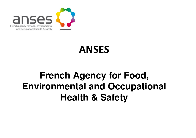

## ANSES

## **French Agency for Food, Environmental and Occupational Health & Safety**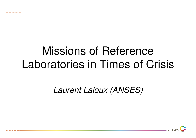# Missions of Reference Laboratories in Times of Crisis

Laurent Laloux (ANSES)

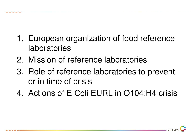- 1. European organization of food reference laboratories
- 2. Mission of reference laboratories
- 3. Role of reference laboratories to prevent or in time of crisis
- 4. Actions of E Coli EURL in O104:H4 crisis

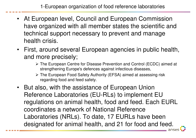- At European level, Council and European Commission have organized with all member states the scientific and technical support necessary to prevent and manage health crisis.
- First, around several European agencies in public health, and more precisely;
	- > The European Centre for Disease Prevention and Control (ECDC) aimed at <br>etrapethoning Europe's defences against infectious diseases strengthening Europe's defences against infectious diseases,
	- > The European Food Safety Authority (EFSA) aimed at assessing risk regarding food and feed safety.
- But also, with the assistance of European Union Reference Laboratories (EU-RLs) to implement EU regulations on animal health, food and feed. Each EURL coordinates a network of National Reference Laboratories (NRLs). To date, 17 EURLs have been designated for animal health, and 21 for food and feed.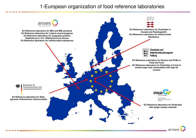### 1-European organization of food reference laboratories

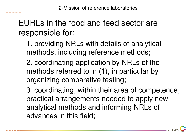EURLs in the food and feed sector are responsible for:

1. providing NRLs with details of analytical methods, including reference methods;

2. coordinating application by NRLs of the methods referred to in (1), in particular by organizing comparative testing;

3. coordinating, within their area of competence, practical arrangements needed to apply new analytical methods and informing NRLs of advances in this field;

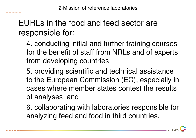## EURLs in the food and feed sector are responsible for:

4. conducting initial and further training courses for the benefit of staff from NRLs and of experts from developing countries;

5. providing scientific and technical assistance to the European Commission (EC), especially in cases where member states contest the results of analyses; and

6. collaborating with laboratories responsible for analyzing feed and food in third countries.

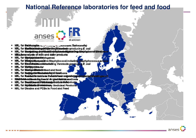### **National Reference laboratories for feed and food**



- NRL for @almonetias and resung to Loonoses (Salmonetia)
- · NRL for Each man was provided at the gE value of the colid cinq E. coli
- NRL for Stactsuis and objuined abilities and international state to a conceit status
- MRLuforsanalysis of milk and dairy products
- **NRL** for **Mempholomer terytogenes**
- NRL for **Wintigel Bietosinitive** Staphylococci including Staphylococcus aur
- NRL for Esonethermatheterialsing Verotoxin-producing E. coli
- NRL for **Wykosykinacter**
- NRL for Maniner Music to the Seed and food
- · NRL for Residenti at Sissin fascitanti teachons
- NRL for Restueld createus refective from any ethnicial near distants
- NRUnDd th driinvas drog idsand singtad studuition ethods
- NRL for Beasid Cosred & Constants and dinner at a ReBubducts
- **NRL** for *Republication Recognizery* Medicinal Products.
- . NRL for Dioxins and PCBs in Food and Feed

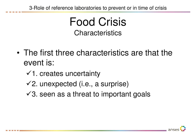3-Role of reference laboratories to prevent or in time of crisis

Food CrisisCharacteristics

- • The first three characteristics are that the event is:
	- $\checkmark$ 1. creates uncertainty
	- $\checkmark$ 2. unexpected (i.e., a surprise)
	- $\checkmark$ 3. seen as a threat to important goals

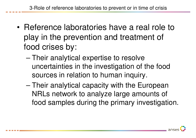- • Reference laboratories have a real role to play in the prevention and treatment of food crises by:
	- Their analytical expertise to resolve uncertainties in the investigation of the food sources in relation to human inquiry.
	- Their analytical capacity with the European NRLs network to analyze large amounts of food samples during the primary investigation.

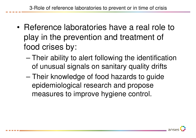- • Reference laboratories have a real role to play in the prevention and treatment of food crises by:
	- Their ability to alert following the identification of unusual signals on sanitary quality drifts
	- Their knowledge of food hazards to guide epidemiological research and propose measures to improve hygiene control.

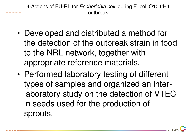4-Actions of EU-RL for *Escherichia coli* during E. coli O104:H4 outbreak

- • Developed and distributed a method for the detection of the outbreak strain in food to the NRL network, together with appropriate reference materials.
- • Performed laboratory testing of different types of samples and organized an interlaboratory study on the detection of VTEC in seeds used for the production of sprouts.

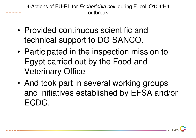4-Actions of EU-RL for *Escherichia coli* during E. coli O104:H4 outbreak

- • Provided continuous scientific and technical support to DG SANCO.
- • Participated in the inspection mission to Egypt carried out by the Food and Veterinary Office
- • And took part in several working groups and initiatives established by EFSA and/or ECDC.

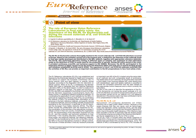



Agenda

**Point of view Lab news Focus on a laboratory** Summary

Research **Methods** 

#### **Point of view**

- - - -

. . . . . .

#### The role of European Union Reference Laboratories in food safety crisis: the experience of the EU-RL for Escherichia coli during the recent outbreak of E. coli 0104:H4 *infections*

A. Caprioli (1) (alfredo.caprioli@iss.it), S. Morabito (1), K. De Smet (2)\*

(1) EU Reference Laboratory for Escherichia coli, Dipartimento di Sanità Pubblica Veterinaria e Sicurezza Álimentare, Istituto Superiore di Sanità, Viale Regina Elena 299.

00161 Rome, Italy

(2) European Commission, Health and Consumers Directorate-General, 1049 Brussels, Belgium A.Caprioli, S. Morabito, K. De Smet (2012). The role of European Union Reference Laboratories

in food safety crisis: The experience of the EU-RL for Escherichia coli during the recent

outbreak of E.coli 0104:H4 infections, EuroReference, No. 6, ER06-12P01, http://www.anses.fr/euroreference/numero6/PN20I0.htm

The EU-RL for Escherichia coli was thoroughly involved in the recent outbreak of E. coli O104:H4 infections occurred in Europe. Based on the activities carried out in the previous year, a method for the detection of the outbreak strain in food was rapidly developed and distributed to the NRL network, together with appropriate reference materials. The EU-RL also performed laboratory testing of different types of samples and organized an inter-laboratory study on the detection of VTEC in seeds used for the production of sprouts. During the entire period of the crisis, it provided continuous scientific and technical support to DG SANCO. Moreover, the EU-RL participated in the inspection mission to Egypt carried out by the Food and Veterinary Office and took part in several working groups and initiatives established by EFSA and/or ECDC. The experience of the E. coli 0104:H4 outbreak confirmed that the activities of EU-RLs can provide an important contribution to the EC preparedness to face food safety crisis.

The EU Reference Laboratories (EU-RLs) are established and financed by the Directorate General for Health and Consumers (DG Sanco) to support the European Commission (EC) in facing specific food and feed hazards or specific animal diseases, according to the Regulation (EC) No. 882/2004 on official controls. When an EU-RL is established, the Member States (MS) have to designate their own National Reference Laboratory (NRL) on the same hazard, in order to create an EU laboratory network on that topic. The duties and functions of EU-RLs and NRLs are detailed in the Articles 32 and 33 of Reg. (EC) No. 882/2004, respectively. In practical terms, the EU-RLs duties involve: (1) developing reference analytical methods; (2) coordinating the application of such methods by the NRLs, in particular by organizing proficiency tests (PTs); (3) coordinating the network of NRLs, by providing them information on the advances in the field, reference materials, and specific training on analytical methods; and (4) providing scientific and technical assistance to the Commission, in particular to the DG Sanco, and the European Food Safety Authority (EFSA). The NRLs duties include the collaboration with the respective EU-RL. the coordination of the activities of the laboratories involved in official controls in their own country, including the organization of PTs, the dissemination of the information received from the EU-RL, and the scientific and technical assistance to their Authorities. If the resulting laboratory networks comply with those duties, the analytical methods, the reference materials, and the PTs are transferred by the EU-RLs to the NRLs and by the NRIs to the local laboratories involved in official controls. The final aim of these activities is that any foodstuff produced or imported in any MS of the EU is tested using the same stateof-art methods and with comparable levels of proficiency. The added value of such networks can be particularly important in food safety crisis involving different MS, when testing food with standardized, rapid and reliable methods is essential to provide the competent authorities with the data needed to plan appropriate control measures and to inform correctly the consumers.

The aim of this note is to describe the experience of the EU-RL for Escherichia coli during the recent outbreak of E. coli O104:H4 infections occurred in Europe and to discuss on how the activities carried out by our network of E. coli reference laboratories in the previous years may have contributed in terms of EU preparedness to face the crisis.

#### The EU-RL for E. coli

Verocytotoxin (VT)-producing Escherichia coli (VTEC) infections are a major public health concern, because of the severe illnesses that they can cause, such as hemorrhagic colitis and hemolytic uremic syndrome (HUS), and the large number of outbreaks occurring all over the world (Caprioli et al., 2005). Due to this public health relevance, VTEC infections have been included in the list of zoonoses that will receive priority in monitoring schemes according to the Directive 2003/99/EC, and the EC established an EU-RL for VTEC in 2006.

The EU-RL VTEC is housed within the Istituto Superiore di Sanità (ISS) in Rome and its characteristics and activities have already been described in this Journal (Caprioli et al., 2010). The network of NRLs coordinated by the EU-RL VTEC includes all





\* The views or positions expressed in this text correspond to the authors and are not, and cannot be regarded as representing the position, the views or the policy of the European Commiss  $\mathbf{2}$